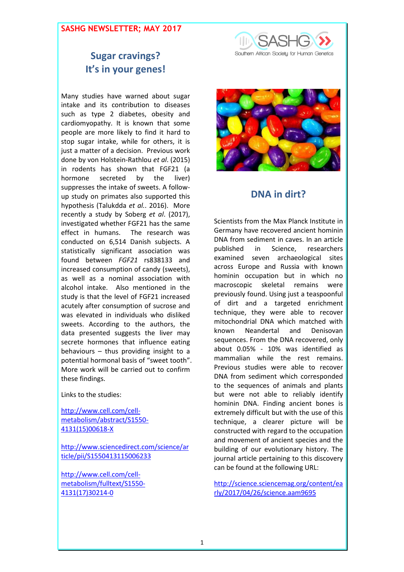#### **SASHG NEWSLETTER; MAY 2017**



# **Sugar cravings? It's in your genes!**

Many studies have warned about sugar intake and its contribution to diseases such as type 2 diabetes, obesity and cardiomyopathy. It is known that some people are more likely to find it hard to stop sugar intake, while for others, it is just a matter of a decision. Previous work done by von Holstein-Rathlou *et al*. (2015) in rodents has shown that FGF21 (a hormone secreted by the liver) suppresses the intake of sweets. A followup study on primates also supported this hypothesis (Talukdda *et al.*. 2016). More recently a study by Soberg *et al*. (2017), investigated whether FGF21 has the same effect in humans. The research was conducted on 6,514 Danish subjects. A statistically significant association was found between *FGF21* rs838133 and increased consumption of candy (sweets), as well as a nominal association with alcohol intake. Also mentioned in the study is that the level of FGF21 increased acutely after consumption of sucrose and was elevated in individuals who disliked sweets. According to the authors, the data presented suggests the liver may secrete hormones that influence eating behaviours – thus providing insight to a potential hormonal basis of "sweet tooth". More work will be carried out to confirm these findings.

Links to the studies:

[http://www.cell.com/cell](http://www.cell.com/cell-metabolism/abstract/S1550-4131(15)00618-X)[metabolism/abstract/S1550-](http://www.cell.com/cell-metabolism/abstract/S1550-4131(15)00618-X) [4131\(15\)00618-X](http://www.cell.com/cell-metabolism/abstract/S1550-4131(15)00618-X)

[http://www.sciencedirect.com/science/ar](http://www.sciencedirect.com/science/article/pii/S1550413115006233) [ticle/pii/S1550413115006233](http://www.sciencedirect.com/science/article/pii/S1550413115006233)

[http://www.cell.com/cell](http://www.cell.com/cell-metabolism/fulltext/S1550-4131(17)30214-0)[metabolism/fulltext/S1550-](http://www.cell.com/cell-metabolism/fulltext/S1550-4131(17)30214-0) [4131\(17\)30214-0](http://www.cell.com/cell-metabolism/fulltext/S1550-4131(17)30214-0)



## **DNA in dirt?**

Scientists from the Max Planck Institute in Germany have recovered ancient hominin DNA from sediment in caves. In an article published in Science, researchers examined seven archaeological sites across Europe and Russia with known hominin occupation but in which no macroscopic skeletal remains were previously found. Using just a teaspoonful of dirt and a targeted enrichment technique, they were able to recover mitochondrial DNA which matched with known Neandertal and Denisovan sequences. From the DNA recovered, only about 0.05% - 10% was identified as mammalian while the rest remains. Previous studies were able to recover DNA from sediment which corresponded to the sequences of animals and plants but were not able to reliably identify hominin DNA. Finding ancient bones is extremely difficult but with the use of this technique, a clearer picture will be constructed with regard to the occupation and movement of ancient species and the building of our evolutionary history. The journal article pertaining to this discovery can be found at the following URL:

[http://science.sciencemag.org/content/ea](http://science.sciencemag.org/content/early/2017/04/26/science.aam9695) [rly/2017/04/26/science.aam9695](http://science.sciencemag.org/content/early/2017/04/26/science.aam9695)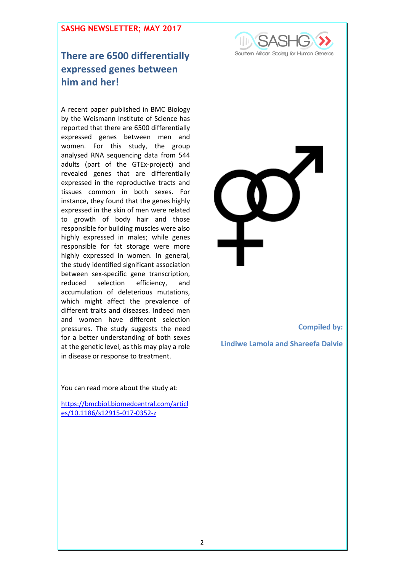#### **SASHG NEWSLETTER; MAY 2017**

# **There are 6500 differentially expressed genes between him and her!**

A recent paper published in BMC Biology by the Weismann Institute of Science has reported that there are 6500 differentially expressed genes between men and women. For this study, the group analysed RNA sequencing data from 544 adults (part of the GTEx-project) and revealed genes that are differentially expressed in the reproductive tracts and tissues common in both sexes. For instance, they found that the genes highly expressed in the skin of men were related to growth of body hair and those responsible for building muscles were also highly expressed in males; while genes responsible for fat storage were more highly expressed in women. In general, the study identified significant association between sex-specific gene transcription, reduced selection efficiency, and accumulation of deleterious mutations, which might affect the prevalence of different traits and diseases. Indeed men and women have different selection pressures. The study suggests the need for a better understanding of both sexes at the genetic level, as this may play a role in disease or response to treatment.

**Compiled by: Lindiwe Lamola and Shareefa Dalvie**

You can read more about the study at:

[https://bmcbiol.biomedcentral.com/articl](https://bmcbiol.biomedcentral.com/articles/10.1186/s12915-017-0352-z) [es/10.1186/s12915-017-0352-z](https://bmcbiol.biomedcentral.com/articles/10.1186/s12915-017-0352-z)

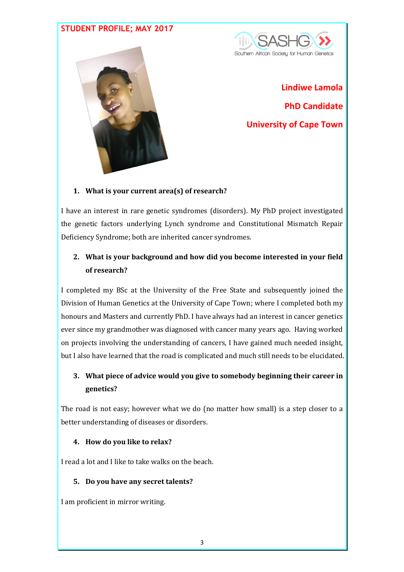### **STUDENT PROFILE; MAY 2017**





**Lindiwe Lamola PhD Candidate University of Cape Town** 

#### **1. What is your current area(s) of research?**

I have an interest in rare genetic syndromes (disorders). My PhD project investigated the genetic factors underlying Lynch syndrome and Constitutional Mismatch Repair Deficiency Syndrome; both are inherited cancer syndromes.

### **2. What is your background and how did you become interested in your field of research?**

I completed my BSc at the University of the Free State and subsequently joined the Division of Human Genetics at the University of Cape Town; where I completed both my honours and Masters and currently PhD. I have always had an interest in cancer genetics ever since my grandmother was diagnosed with cancer many years ago. Having worked on projects involving the understanding of cancers, I have gained much needed insight, but I also have learned that the road is complicated and much still needs to be elucidated.

### **3. What piece of advice would you give to somebody beginning their career in genetics?**

The road is not easy; however what we do (no matter how small) is a step closer to a better understanding of diseases or disorders.

#### **4. How do you like to relax?**

I read a lot and I like to take walks on the beach.

#### **5. Do you have any secret talents?**

I am proficient in mirror writing.